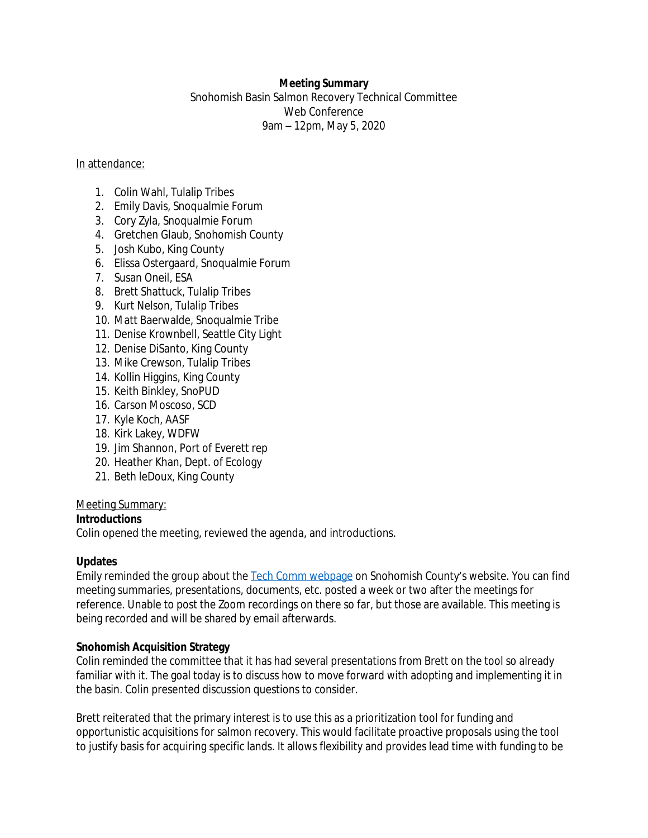## **Meeting Summary**

Snohomish Basin Salmon Recovery Technical Committee Web Conference 9am – 12pm, May 5, 2020

#### In attendance:

- 1. Colin Wahl, Tulalip Tribes
- 2. Emily Davis, Snoqualmie Forum
- 3. Cory Zyla, Snoqualmie Forum
- 4. Gretchen Glaub, Snohomish County
- 5. Josh Kubo, King County
- 6. Elissa Ostergaard, Snoqualmie Forum
- 7. Susan Oneil, ESA
- 8. Brett Shattuck, Tulalip Tribes
- 9. Kurt Nelson, Tulalip Tribes
- 10. Matt Baerwalde, Snoqualmie Tribe
- 11. Denise Krownbell, Seattle City Light
- 12. Denise DiSanto, King County
- 13. Mike Crewson, Tulalip Tribes
- 14. Kollin Higgins, King County
- 15. Keith Binkley, SnoPUD
- 16. Carson Moscoso, SCD
- 17. Kyle Koch, AASF
- 18. Kirk Lakey, WDFW
- 19. Jim Shannon, Port of Everett rep
- 20. Heather Khan, Dept. of Ecology
- 21. Beth leDoux, King County

### Meeting Summary:

### **Introductions**

Colin opened the meeting, reviewed the agenda, and introductions.

### **Updates**

Emily reminded the group about the [Tech Comm webpage](https://snohomishcountywa.gov/3826/Technical-Committee) on Snohomish County's website. You can find meeting summaries, presentations, documents, etc. posted a week or two after the meetings for reference. Unable to post the Zoom recordings on there so far, but those are available. This meeting is being recorded and will be shared by email afterwards.

### **Snohomish Acquisition Strategy**

Colin reminded the committee that it has had several presentations from Brett on the tool so already familiar with it. The goal today is to discuss how to move forward with adopting and implementing it in the basin. Colin presented discussion questions to consider.

Brett reiterated that the primary interest is to use this as a prioritization tool for funding and opportunistic acquisitions for salmon recovery. This would facilitate proactive proposals using the tool to justify basis for acquiring specific lands. It allows flexibility and provides lead time with funding to be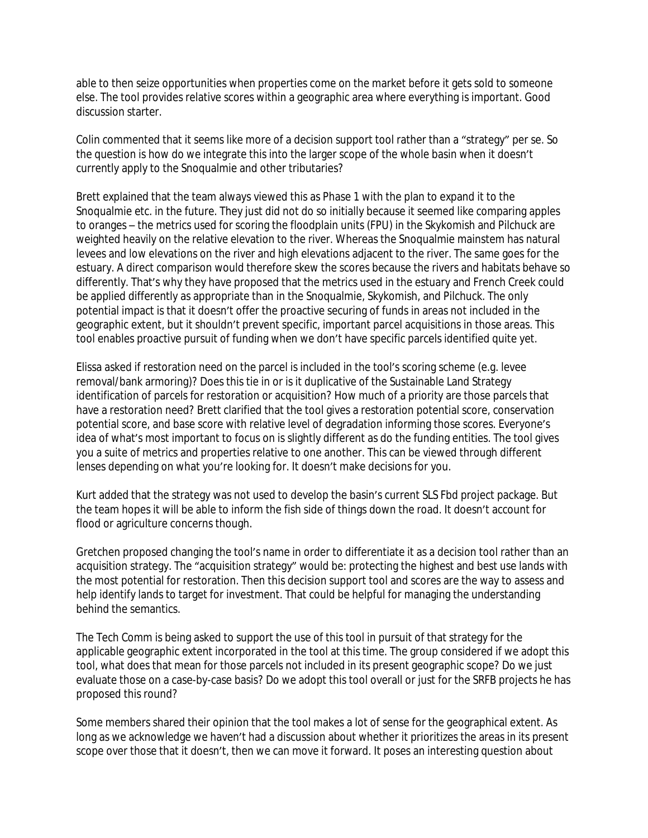able to then seize opportunities when properties come on the market before it gets sold to someone else. The tool provides relative scores within a geographic area where everything is important. Good discussion starter.

Colin commented that it seems like more of a decision support tool rather than a "strategy" per se. So the question is how do we integrate this into the larger scope of the whole basin when it doesn't currently apply to the Snoqualmie and other tributaries?

Brett explained that the team always viewed this as Phase 1 with the plan to expand it to the Snoqualmie etc. in the future. They just did not do so initially because it seemed like comparing apples to oranges – the metrics used for scoring the floodplain units (FPU) in the Skykomish and Pilchuck are weighted heavily on the relative elevation to the river. Whereas the Snoqualmie mainstem has natural levees and low elevations on the river and high elevations adjacent to the river. The same goes for the estuary. A direct comparison would therefore skew the scores because the rivers and habitats behave so differently. That's why they have proposed that the metrics used in the estuary and French Creek could be applied differently as appropriate than in the Snoqualmie, Skykomish, and Pilchuck. The only potential impact is that it doesn't offer the proactive securing of funds in areas not included in the geographic extent, but it shouldn't prevent specific, important parcel acquisitions in those areas. This tool enables proactive pursuit of funding when we don't have specific parcels identified quite yet.

Elissa asked if restoration need on the parcel is included in the tool's scoring scheme (e.g. levee removal/bank armoring)? Does this tie in or is it duplicative of the Sustainable Land Strategy identification of parcels for restoration or acquisition? How much of a priority are those parcels that have a restoration need? Brett clarified that the tool gives a restoration potential score, conservation potential score, and base score with relative level of degradation informing those scores. Everyone's idea of what's most important to focus on is slightly different as do the funding entities. The tool gives you a suite of metrics and properties relative to one another. This can be viewed through different lenses depending on what you're looking for. It doesn't make decisions for you.

Kurt added that the strategy was not used to develop the basin's current SLS Fbd project package. But the team hopes it will be able to inform the fish side of things down the road. It doesn't account for flood or agriculture concerns though.

Gretchen proposed changing the tool's name in order to differentiate it as a decision tool rather than an acquisition strategy. The "acquisition strategy" would be: protecting the highest and best use lands with the most potential for restoration. Then this decision support tool and scores are the way to assess and help identify lands to target for investment. That could be helpful for managing the understanding behind the semantics.

The Tech Comm is being asked to support the use of this tool in pursuit of that strategy for the applicable geographic extent incorporated in the tool at this time. The group considered if we adopt this tool, what does that mean for those parcels not included in its present geographic scope? Do we just evaluate those on a case-by-case basis? Do we adopt this tool overall or just for the SRFB projects he has proposed this round?

Some members shared their opinion that the tool makes a lot of sense for the geographical extent. As long as we acknowledge we haven't had a discussion about whether it prioritizes the areas in its present scope over those that it doesn't, then we can move it forward. It poses an interesting question about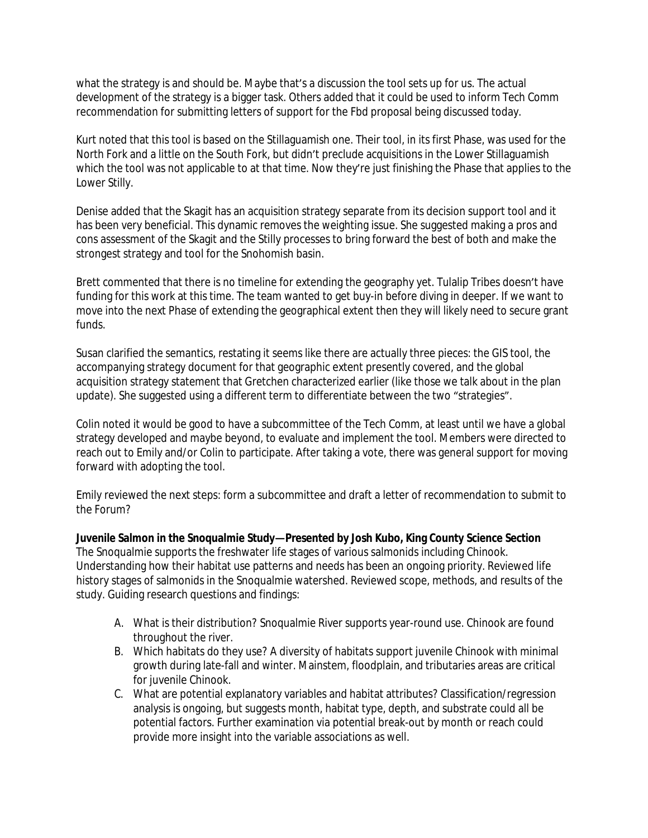what the strategy is and should be. Maybe that's a discussion the tool sets up for us. The actual development of the strategy is a bigger task. Others added that it could be used to inform Tech Comm recommendation for submitting letters of support for the Fbd proposal being discussed today.

Kurt noted that this tool is based on the Stillaguamish one. Their tool, in its first Phase, was used for the North Fork and a little on the South Fork, but didn't preclude acquisitions in the Lower Stillaguamish which the tool was not applicable to at that time. Now they're just finishing the Phase that applies to the Lower Stilly.

Denise added that the Skagit has an acquisition strategy separate from its decision support tool and it has been very beneficial. This dynamic removes the weighting issue. She suggested making a pros and cons assessment of the Skagit and the Stilly processes to bring forward the best of both and make the strongest strategy and tool for the Snohomish basin.

Brett commented that there is no timeline for extending the geography yet. Tulalip Tribes doesn't have funding for this work at this time. The team wanted to get buy-in before diving in deeper. If we want to move into the next Phase of extending the geographical extent then they will likely need to secure grant funds.

Susan clarified the semantics, restating it seems like there are actually three pieces: the GIS tool, the accompanying strategy document for that geographic extent presently covered, and the global acquisition strategy statement that Gretchen characterized earlier (like those we talk about in the plan update). She suggested using a different term to differentiate between the two "strategies".

Colin noted it would be good to have a subcommittee of the Tech Comm, at least until we have a global strategy developed and maybe beyond, to evaluate and implement the tool. Members were directed to reach out to Emily and/or Colin to participate. After taking a vote, there was general support for moving forward with adopting the tool.

Emily reviewed the next steps: form a subcommittee and draft a letter of recommendation to submit to the Forum?

**Juvenile Salmon in the Snoqualmie Study—Presented by Josh Kubo, King County Science Section** The Snoqualmie supports the freshwater life stages of various salmonids including Chinook. Understanding how their habitat use patterns and needs has been an ongoing priority. Reviewed life history stages of salmonids in the Snoqualmie watershed. Reviewed scope, methods, and results of the study. Guiding research questions and findings:

- A. What is their distribution? Snoqualmie River supports year-round use. Chinook are found throughout the river.
- B. Which habitats do they use? A diversity of habitats support juvenile Chinook with minimal growth during late-fall and winter. Mainstem, floodplain, and tributaries areas are critical for juvenile Chinook.
- C. What are potential explanatory variables and habitat attributes? Classification/regression analysis is ongoing, but suggests month, habitat type, depth, and substrate could all be potential factors. Further examination via potential break-out by month or reach could provide more insight into the variable associations as well.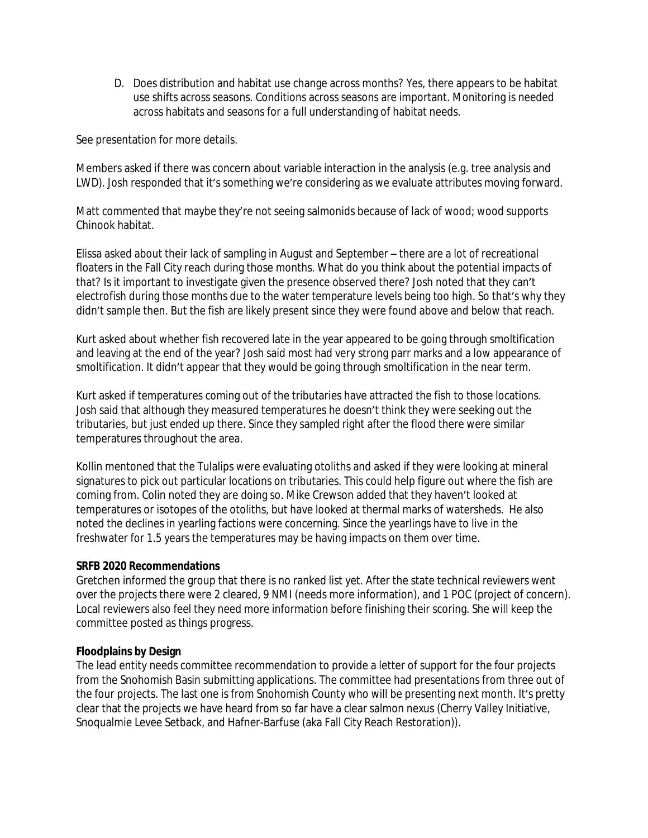D. Does distribution and habitat use change across months? Yes, there appears to be habitat use shifts across seasons. Conditions across seasons are important. Monitoring is needed across habitats and seasons for a full understanding of habitat needs.

See presentation for more details.

Members asked if there was concern about variable interaction in the analysis (e.g. tree analysis and LWD). Josh responded that it's something we're considering as we evaluate attributes moving forward.

Matt commented that maybe they're not seeing salmonids because of lack of wood; wood supports Chinook habitat.

Elissa asked about their lack of sampling in August and September – there are a lot of recreational floaters in the Fall City reach during those months. What do you think about the potential impacts of that? Is it important to investigate given the presence observed there? Josh noted that they can't electrofish during those months due to the water temperature levels being too high. So that's why they didn't sample then. But the fish are likely present since they were found above and below that reach.

Kurt asked about whether fish recovered late in the year appeared to be going through smoltification and leaving at the end of the year? Josh said most had very strong parr marks and a low appearance of smoltification. It didn't appear that they would be going through smoltification in the near term.

Kurt asked if temperatures coming out of the tributaries have attracted the fish to those locations. Josh said that although they measured temperatures he doesn't think they were seeking out the tributaries, but just ended up there. Since they sampled right after the flood there were similar temperatures throughout the area.

Kollin mentoned that the Tulalips were evaluating otoliths and asked if they were looking at mineral signatures to pick out particular locations on tributaries. This could help figure out where the fish are coming from. Colin noted they are doing so. Mike Crewson added that they haven't looked at temperatures or isotopes of the otoliths, but have looked at thermal marks of watersheds. He also noted the declines in yearling factions were concerning. Since the yearlings have to live in the freshwater for 1.5 years the temperatures may be having impacts on them over time.

### **SRFB 2020 Recommendations**

Gretchen informed the group that there is no ranked list yet. After the state technical reviewers went over the projects there were 2 cleared, 9 NMI (needs more information), and 1 POC (project of concern). Local reviewers also feel they need more information before finishing their scoring. She will keep the committee posted as things progress.

# **Floodplains by Design**

The lead entity needs committee recommendation to provide a letter of support for the four projects from the Snohomish Basin submitting applications. The committee had presentations from three out of the four projects. The last one is from Snohomish County who will be presenting next month. It's pretty clear that the projects we have heard from so far have a clear salmon nexus (Cherry Valley Initiative, Snoqualmie Levee Setback, and Hafner-Barfuse (aka Fall City Reach Restoration)).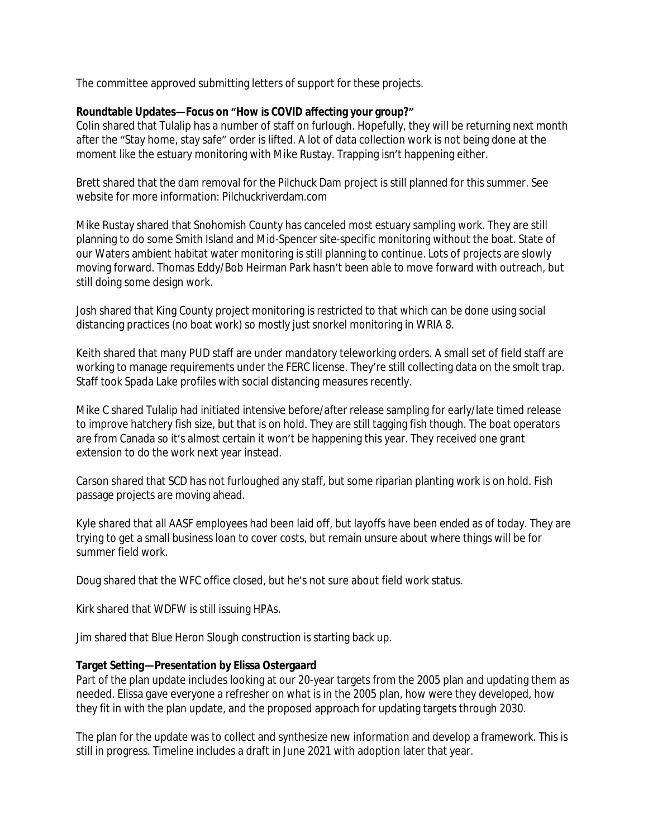The committee approved submitting letters of support for these projects.

### **Roundtable Updates—Focus on "How is COVID affecting your group?"**

Colin shared that Tulalip has a number of staff on furlough. Hopefully, they will be returning next month after the "Stay home, stay safe" order is lifted. A lot of data collection work is not being done at the moment like the estuary monitoring with Mike Rustay. Trapping isn't happening either.

Brett shared that the dam removal for the Pilchuck Dam project is still planned for this summer. See website for more information: Pilchuckriverdam.com

Mike Rustay shared that Snohomish County has canceled most estuary sampling work. They are still planning to do some Smith Island and Mid-Spencer site-specific monitoring without the boat. State of our Waters ambient habitat water monitoring is still planning to continue. Lots of projects are slowly moving forward. Thomas Eddy/Bob Heirman Park hasn't been able to move forward with outreach, but still doing some design work.

Josh shared that King County project monitoring is restricted to that which can be done using social distancing practices (no boat work) so mostly just snorkel monitoring in WRIA 8.

Keith shared that many PUD staff are under mandatory teleworking orders. A small set of field staff are working to manage requirements under the FERC license. They're still collecting data on the smolt trap. Staff took Spada Lake profiles with social distancing measures recently.

Mike C shared Tulalip had initiated intensive before/after release sampling for early/late timed release to improve hatchery fish size, but that is on hold. They are still tagging fish though. The boat operators are from Canada so it's almost certain it won't be happening this year. They received one grant extension to do the work next year instead.

Carson shared that SCD has not furloughed any staff, but some riparian planting work is on hold. Fish passage projects are moving ahead.

Kyle shared that all AASF employees had been laid off, but layoffs have been ended as of today. They are trying to get a small business loan to cover costs, but remain unsure about where things will be for summer field work.

Doug shared that the WFC office closed, but he's not sure about field work status.

Kirk shared that WDFW is still issuing HPAs.

Jim shared that Blue Heron Slough construction is starting back up.

### **Target Setting—Presentation by Elissa Ostergaard**

Part of the plan update includes looking at our 20-year targets from the 2005 plan and updating them as needed. Elissa gave everyone a refresher on what is in the 2005 plan, how were they developed, how they fit in with the plan update, and the proposed approach for updating targets through 2030.

The plan for the update was to collect and synthesize new information and develop a framework. This is still in progress. Timeline includes a draft in June 2021 with adoption later that year.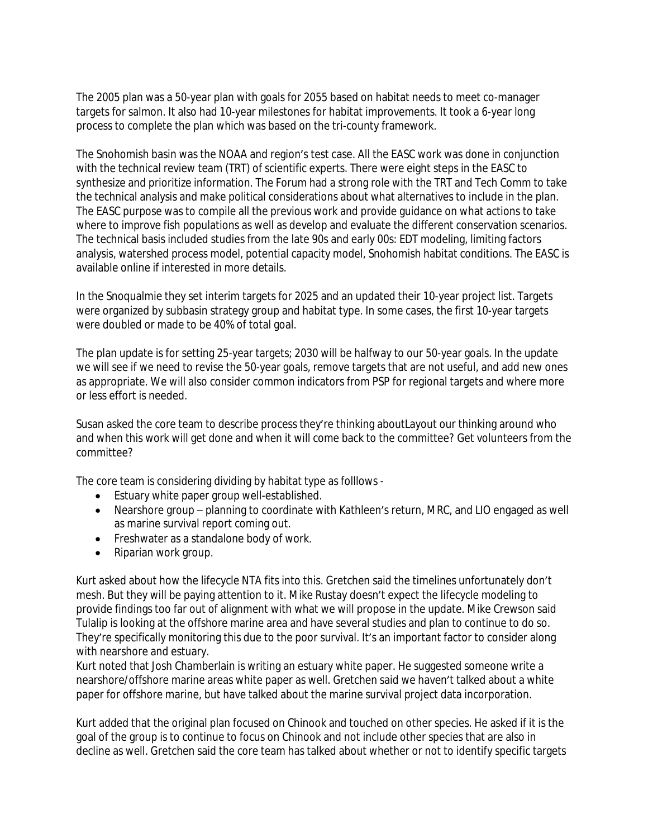The 2005 plan was a 50-year plan with goals for 2055 based on habitat needs to meet co-manager targets for salmon. It also had 10-year milestones for habitat improvements. It took a 6-year long process to complete the plan which was based on the tri-county framework.

The Snohomish basin was the NOAA and region's test case. All the EASC work was done in conjunction with the technical review team (TRT) of scientific experts. There were eight steps in the EASC to synthesize and prioritize information. The Forum had a strong role with the TRT and Tech Comm to take the technical analysis and make political considerations about what alternatives to include in the plan. The EASC purpose was to compile all the previous work and provide guidance on what actions to take where to improve fish populations as well as develop and evaluate the different conservation scenarios. The technical basis included studies from the late 90s and early 00s: EDT modeling, limiting factors analysis, watershed process model, potential capacity model, Snohomish habitat conditions. The EASC is available online if interested in more details.

In the Snoqualmie they set interim targets for 2025 and an updated their 10-year project list. Targets were organized by subbasin strategy group and habitat type. In some cases, the first 10-year targets were doubled or made to be 40% of total goal.

The plan update is for setting 25-year targets; 2030 will be halfway to our 50-year goals. In the update we will see if we need to revise the 50-year goals, remove targets that are not useful, and add new ones as appropriate. We will also consider common indicators from PSP for regional targets and where more or less effort is needed.

Susan asked the core team to describe process they're thinking aboutLayout our thinking around who and when this work will get done and when it will come back to the committee? Get volunteers from the committee?

The core team is considering dividing by habitat type as folllows -

- Estuary white paper group well-established.
- Nearshore group planning to coordinate with Kathleen's return, MRC, and LIO engaged as well as marine survival report coming out.
- **•** Freshwater as a standalone body of work.
- Riparian work group.

Kurt asked about how the lifecycle NTA fits into this. Gretchen said the timelines unfortunately don't mesh. But they will be paying attention to it. Mike Rustay doesn't expect the lifecycle modeling to provide findings too far out of alignment with what we will propose in the update. Mike Crewson said Tulalip is looking at the offshore marine area and have several studies and plan to continue to do so. They're specifically monitoring this due to the poor survival. It's an important factor to consider along with nearshore and estuary.

Kurt noted that Josh Chamberlain is writing an estuary white paper. He suggested someone write a nearshore/offshore marine areas white paper as well. Gretchen said we haven't talked about a white paper for offshore marine, but have talked about the marine survival project data incorporation.

Kurt added that the original plan focused on Chinook and touched on other species. He asked if it is the goal of the group is to continue to focus on Chinook and not include other species that are also in decline as well. Gretchen said the core team has talked about whether or not to identify specific targets